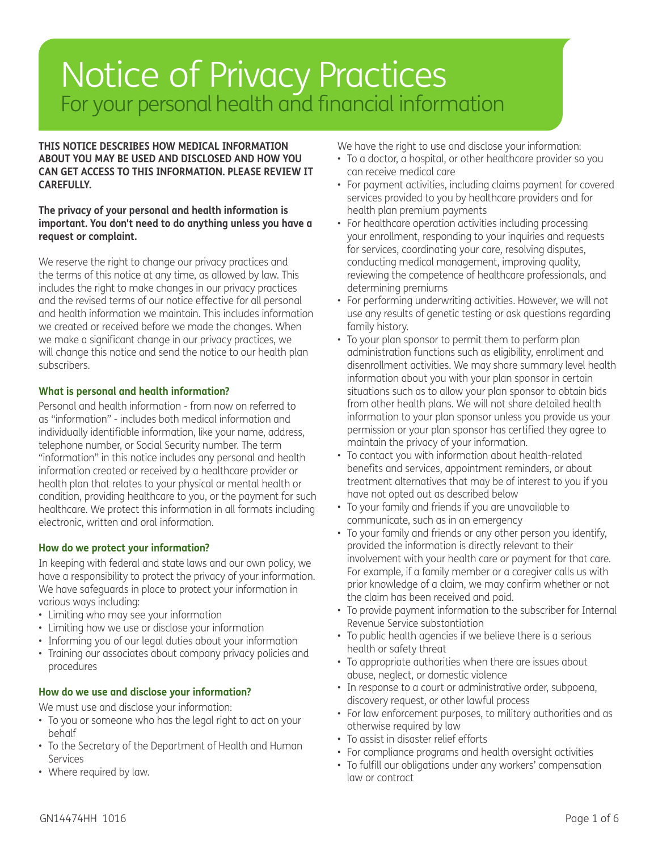### Notice of Privacy Practices<br>For your personal health and financial information

**THIS NOTICE DESCRIBES HOW MEDICAL INFORMATION ABOUT YOU MAY BE USED AND DISCLOSED AND HOW YOU CAN GET ACCESS TO THIS INFORMATION. PLEASE REVIEW IT CAREFULLY.**

#### **The privacy of your personal and health information is important. You don't need to do anything unless you have a request or complaint.**

We reserve the right to change our privacy practices and the terms of this notice at any time, as allowed by law. This includes the right to make changes in our privacy practices and the revised terms of our notice effective for all personal and health information we maintain. This includes information we created or received before we made the changes. When we make a significant change in our privacy practices, we will change this notice and send the notice to our health plan subscribers.

#### **What is personal and health information?**

Personal and health information - from now on referred to as "information" - includes both medical information and individually identifiable information, like your name, address, telephone number, or Social Security number. The term "information" in this notice includes any personal and health information created or received by a healthcare provider or health plan that relates to your physical or mental health or condition, providing healthcare to you, or the payment for such healthcare. We protect this information in all formats including electronic, written and oral information.

#### **How do we protect your information?**

In keeping with federal and state laws and our own policy, we have a responsibility to protect the privacy of your information. We have safeguards in place to protect your information in various ways including:

- Limiting who may see your information
- Limiting how we use or disclose your information
- Informing you of our legal duties about your information
- Training our associates about company privacy policies and procedures

#### **How do we use and disclose your information?**

We must use and disclose your information:

- To you or someone who has the legal right to act on your behalf
- To the Secretary of the Department of Health and Human **Services**
- Where required by law.

We have the right to use and disclose your information:

- To a doctor, a hospital, or other healthcare provider so you can receive medical care
- For payment activities, including claims payment for covered services provided to you by healthcare providers and for health plan premium payments
- For healthcare operation activities including processing your enrollment, responding to your inquiries and requests for services, coordinating your care, resolving disputes, conducting medical management, improving quality, reviewing the competence of healthcare professionals, and determining premiums
- For performing underwriting activities. However, we will not use any results of genetic testing or ask questions regarding family history.
- To your plan sponsor to permit them to perform plan administration functions such as eligibility, enrollment and disenrollment activities. We may share summary level health information about you with your plan sponsor in certain situations such as to allow your plan sponsor to obtain bids from other health plans. We will not share detailed health information to your plan sponsor unless you provide us your permission or your plan sponsor has certified they agree to maintain the privacy of your information.
- To contact you with information about health-related benefits and services, appointment reminders, or about treatment alternatives that may be of interest to you if you have not opted out as described below
- To your family and friends if you are unavailable to communicate, such as in an emergency
- To your family and friends or any other person you identify, provided the information is directly relevant to their involvement with your health care or payment for that care. For example, if a family member or a caregiver calls us with prior knowledge of a claim, we may confirm whether or not the claim has been received and paid.
- To provide payment information to the subscriber for Internal Revenue Service substantiation
- To public health agencies if we believe there is a serious health or safety threat
- To appropriate authorities when there are issues about abuse, neglect, or domestic violence
- In response to a court or administrative order, subpoena, discovery request, or other lawful process
- For law enforcement purposes, to military authorities and as otherwise required by law
- To assist in disaster relief efforts
- For compliance programs and health oversight activities
- To fulfill our obligations under any workers' compensation law or contract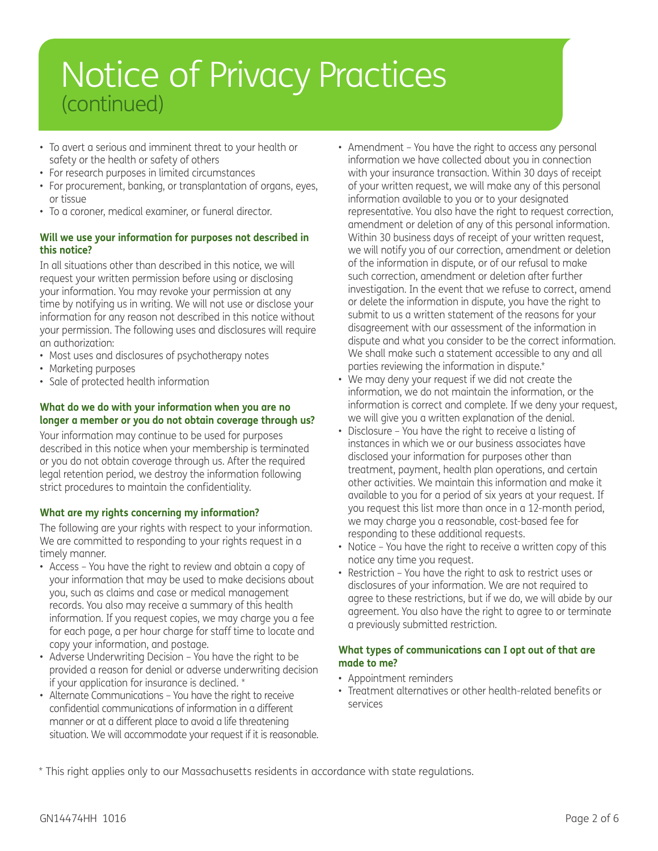# Notice of Privacy Practices (continued)

- To avert a serious and imminent threat to your health or safety or the health or safety of others
- For research purposes in limited circumstances
- For procurement, banking, or transplantation of organs, eyes, or tissue
- To a coroner, medical examiner, or funeral director.

#### **Will we use your information for purposes not described in this notice?**

In all situations other than described in this notice, we will request your written permission before using or disclosing your information. You may revoke your permission at any time by notifying us in writing. We will not use or disclose your information for any reason not described in this notice without your permission. The following uses and disclosures will require an authorization:

- Most uses and disclosures of psychotherapy notes
- Marketing purposes
- Sale of protected health information

#### **What do we do with your information when you are no longer a member or you do not obtain coverage through us?**

Your information may continue to be used for purposes described in this notice when your membership is terminated or you do not obtain coverage through us. After the required legal retention period, we destroy the information following strict procedures to maintain the confidentiality.

#### **What are my rights concerning my information?**

The following are your rights with respect to your information. We are committed to responding to your rights request in a timely manner.

- Access You have the right to review and obtain a copy of your information that may be used to make decisions about you, such as claims and case or medical management records. You also may receive a summary of this health information. If you request copies, we may charge you a fee for each page, a per hour charge for staff time to locate and copy your information, and postage.
- Adverse Underwriting Decision You have the right to be provided a reason for denial or adverse underwriting decision if your application for insurance is declined. \*
- Alternate Communications You have the right to receive confidential communications of information in a different manner or at a different place to avoid a life threatening situation. We will accommodate your request if it is reasonable.
- Amendment You have the right to access any personal information we have collected about you in connection with your insurance transaction. Within 30 days of receipt of your written request, we will make any of this personal information available to you or to your designated representative. You also have the right to request correction, amendment or deletion of any of this personal information. Within 30 business days of receipt of your written request, we will notify you of our correction, amendment or deletion of the information in dispute, or of our refusal to make such correction, amendment or deletion after further investigation. In the event that we refuse to correct, amend or delete the information in dispute, you have the right to submit to us a written statement of the reasons for your disagreement with our assessment of the information in dispute and what you consider to be the correct information. We shall make such a statement accessible to any and all parties reviewing the information in dispute.\*
- We may deny your request if we did not create the information, we do not maintain the information, or the information is correct and complete. If we deny your request, we will give you a written explanation of the denial.
- Disclosure You have the right to receive a listing of instances in which we or our business associates have disclosed your information for purposes other than treatment, payment, health plan operations, and certain other activities. We maintain this information and make it available to you for a period of six years at your request. If you request this list more than once in a 12-month period, we may charge you a reasonable, cost-based fee for responding to these additional requests.
- Notice You have the right to receive a written copy of this notice any time you request.
- Restriction You have the right to ask to restrict uses or disclosures of your information. We are not required to agree to these restrictions, but if we do, we will abide by our agreement. You also have the right to agree to or terminate a previously submitted restriction.

#### **What types of communications can I opt out of that are made to me?**

- Appointment reminders
- Treatment alternatives or other health-related benefits or services

\* This right applies only to our Massachusetts residents in accordance with state regulations.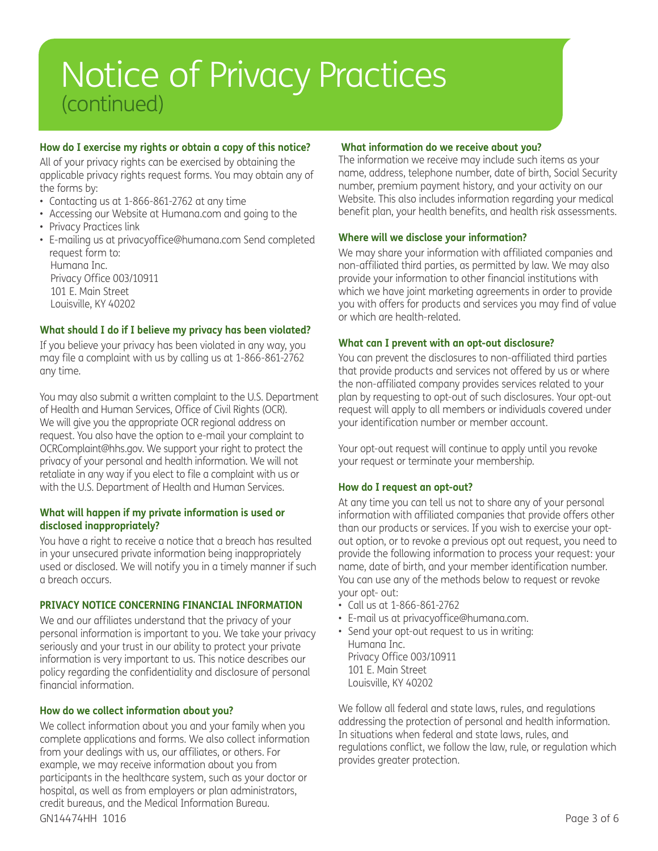# Notice of Privacy Practices (continued)

#### **How do I exercise my rights or obtain a copy of this notice?**

All of your privacy rights can be exercised by obtaining the applicable privacy rights request forms. You may obtain any of the forms by:

- Contacting us at 1-866-861-2762 at any time
- Accessing our Website at Humana.com and going to the
- Privacy Practices link

Louisville, KY 40202

• E-mailing us at privacyoffice@humana.com Send completed request form to: Humana Inc. Privacy Office 003/10911 101 E. Main Street

#### **What should I do if I believe my privacy has been violated?**

If you believe your privacy has been violated in any way, you may file a complaint with us by calling us at 1-866-861-2762 any time.

You may also submit a written complaint to the U.S. Department of Health and Human Services, Office of Civil Rights (OCR). We will give you the appropriate OCR regional address on request. You also have the option to e-mail your complaint to OCRComplaint@hhs.gov. We support your right to protect the privacy of your personal and health information. We will not retaliate in any way if you elect to file a complaint with us or with the U.S. Department of Health and Human Services.

#### **What will happen if my private information is used or disclosed inappropriately?**

You have a right to receive a notice that a breach has resulted in your unsecured private information being inappropriately used or disclosed. We will notify you in a timely manner if such a breach occurs.

#### **PRIVACY NOTICE CONCERNING FINANCIAL INFORMATION**

We and our affiliates understand that the privacy of your personal information is important to you. We take your privacy seriously and your trust in our ability to protect your private information is very important to us. This notice describes our policy regarding the confidentiality and disclosure of personal financial information.

#### **How do we collect information about you?**

GN14474HH 1016 Page 3 of 6 We collect information about you and your family when you complete applications and forms. We also collect information from your dealings with us, our affiliates, or others. For example, we may receive information about you from participants in the healthcare system, such as your doctor or hospital, as well as from employers or plan administrators, credit bureaus, and the Medical Information Bureau.

#### **What information do we receive about you?**

The information we receive may include such items as your name, address, telephone number, date of birth, Social Security number, premium payment history, and your activity on our Website. This also includes information regarding your medical benefit plan, your health benefits, and health risk assessments.

#### **Where will we disclose your information?**

We may share your information with affiliated companies and non-affiliated third parties, as permitted by law. We may also provide your information to other financial institutions with which we have joint marketing agreements in order to provide you with offers for products and services you may find of value or which are health-related.

#### **What can I prevent with an opt-out disclosure?**

You can prevent the disclosures to non-affiliated third parties that provide products and services not offered by us or where the non-affiliated company provides services related to your plan by requesting to opt-out of such disclosures. Your opt-out request will apply to all members or individuals covered under your identification number or member account.

Your opt-out request will continue to apply until you revoke your request or terminate your membership.

#### **How do I request an opt-out?**

At any time you can tell us not to share any of your personal information with affiliated companies that provide offers other than our products or services. If you wish to exercise your optout option, or to revoke a previous opt out request, you need to provide the following information to process your request: your name, date of birth, and your member identification number. You can use any of the methods below to request or revoke your opt- out:

- Call us at 1-866-861-2762
- E-mail us at privacyoffice@humana.com.
- Send your opt-out request to us in writing: Humana Inc. Privacy Office 003/10911 101 E. Main Street Louisville, KY 40202

We follow all federal and state laws, rules, and regulations addressing the protection of personal and health information. In situations when federal and state laws, rules, and regulations conflict, we follow the law, rule, or regulation which provides greater protection.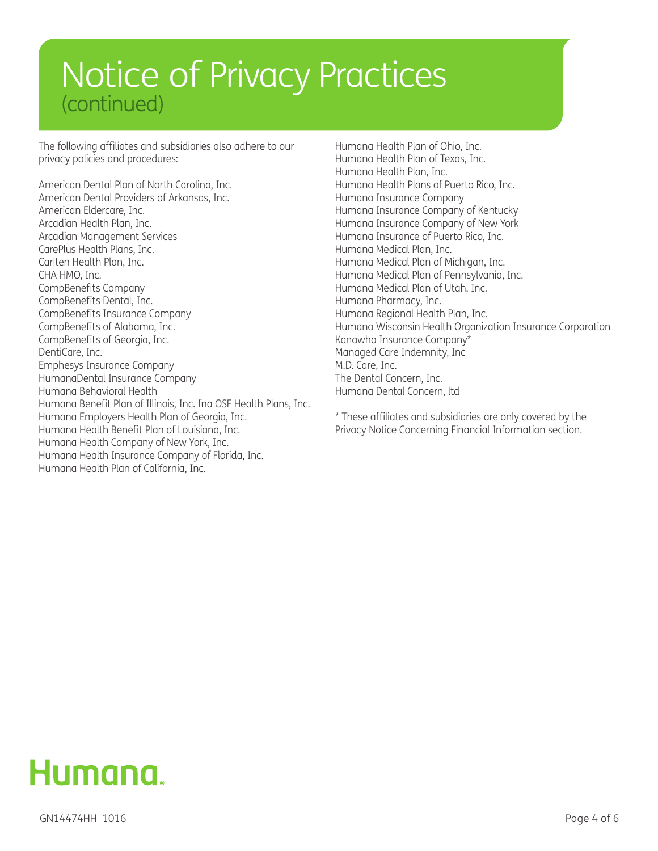# Notice of Privacy Practices (continued)

The following affiliates and subsidiaries also adhere to our privacy policies and procedures:

American Dental Plan of North Carolina, Inc. American Dental Providers of Arkansas, Inc. American Eldercare, Inc. Arcadian Health Plan, Inc. Arcadian Management Services CarePlus Health Plans, Inc. Cariten Health Plan, Inc. CHA HMO, Inc. CompBenefits Company CompBenefits Dental, Inc. CompBenefits Insurance Company CompBenefits of Alabama, Inc. CompBenefits of Georgia, Inc. DentiCare, Inc. Emphesys Insurance Company HumanaDental Insurance Company Humana Behavioral Health Humana Benefit Plan of Illinois, Inc. fna OSF Health Plans, Inc. Humana Employers Health Plan of Georgia, Inc. Humana Health Benefit Plan of Louisiana, Inc. Humana Health Company of New York, Inc. Humana Health Insurance Company of Florida, Inc. Humana Health Plan of California, Inc.

Humana Health Plan of Ohio, Inc. Humana Health Plan of Texas, Inc. Humana Health Plan, Inc. Humana Health Plans of Puerto Rico, Inc. Humana Insurance Company Humana Insurance Company of Kentucky Humana Insurance Company of New York Humana Insurance of Puerto Rico, Inc. Humana Medical Plan, Inc. Humana Medical Plan of Michigan, Inc. Humana Medical Plan of Pennsylvania, Inc. Humana Medical Plan of Utah, Inc. Humana Pharmacy, Inc. Humana Regional Health Plan, Inc. Humana Wisconsin Health Organization Insurance Corporation Kanawha Insurance Company\* Managed Care Indemnity, Inc M.D. Care, Inc. The Dental Concern, Inc. Humana Dental Concern, ltd

\* These affiliates and subsidiaries are only covered by the Privacy Notice Concerning Financial Information section.

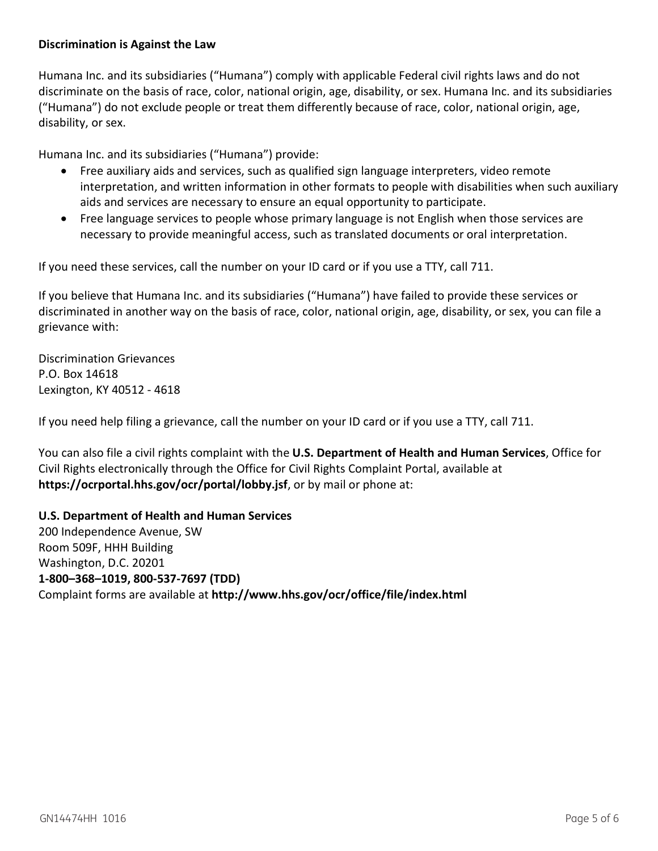#### **Discrimination is Against the Law**

Humana Inc. and its subsidiaries ("Humana") comply with applicable Federal civil rights laws and do not discriminate on the basis of race, color, national origin, age, disability, or sex. Humana Inc. and its subsidiaries ("Humana") do not exclude people or treat them differently because of race, color, national origin, age, disability, or sex.

Humana Inc. and its subsidiaries ("Humana") provide:

- Free auxiliary aids and services, such as qualified sign language interpreters, video remote interpretation, and written information in other formats to people with disabilities when such auxiliary aids and services are necessary to ensure an equal opportunity to participate.
- Free language services to people whose primary language is not English when those services are necessary to provide meaningful access, such as translated documents or oral interpretation.

If you need these services, call the number on your ID card or if you use a TTY, call 711.

If you believe that Humana Inc. and its subsidiaries ("Humana") have failed to provide these services or discriminated in another way on the basis of race, color, national origin, age, disability, or sex, you can file a grievance with:

Discrimination Grievances P.O. Box 14618 Lexington, KY 40512 - 4618

If you need help filing a grievance, call the number on your ID card or if you use a TTY, call 711.

You can also file a civil rights complaint with the **U.S. Department of Health and Human Services**, Office for Civil Rights electronically through the Office for Civil Rights Complaint Portal, available at **https://ocrportal.hhs.gov/ocr/portal/lobby.jsf**, or by mail or phone at:

**U.S. Department of Health and Human Services**  200 Independence Avenue, SW Room 509F, HHH Building Washington, D.C. 20201 **1-800–368–1019, 800-537-7697 (TDD)**  Complaint forms are available at **http://www.hhs.gov/ocr/office/file/index.html**